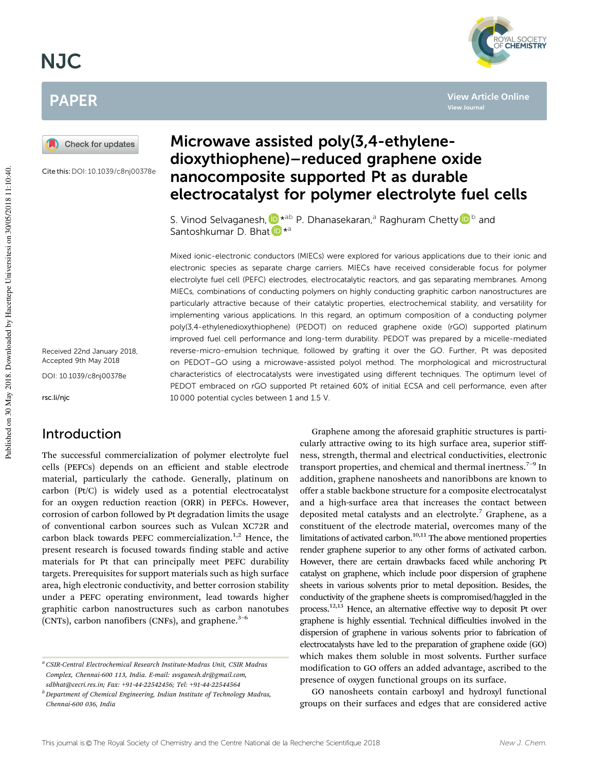# NJC

# PAPER



Cite this:DOI: 10.1039/c8nj00378e

Received 22nd January 2018, Accepted 9th May 2018

DOI: 10.1039/c8nj00378e

rsc.li/njc

Published on 30 May 2018. Downloaded by Hacettepe Universitesi on 30/05/2018 11:10:40.

Published on 30 May 2018. Downloaded by Hacettepe Universitesi on 30/05/2018 11:10:40.

### Introduction

The successful commercialization of polymer electrolyte fuel cells (PEFCs) depends on an efficient and stable electrode material, particularly the cathode. Generally, platinum on carbon (Pt/C) is widely used as a potential electrocatalyst for an oxygen reduction reaction (ORR) in PEFCs. However, corrosion of carbon followed by Pt degradation limits the usage of conventional carbon sources such as Vulcan XC72R and carbon black towards PEFC commercialization. $1,2$  Hence, the present research is focused towards finding stable and active materials for Pt that can principally meet PEFC durability targets. Prerequisites for support materials such as high surface area, high electronic conductivity, and better corrosion stability under a PEFC operating environment, lead towards higher graphitic carbon nanostructures such as carbon nanotubes (CNTs), carbon nanofibers (CNFs), and graphene. $3-6$ 

# Microwave assisted poly(3,4-ethylenedioxythiophene)–reduced graphene oxide nanocomposite supported Pt as durable electrocatalyst for polymer electrolyte fuel cells

**View Article Online**

YAL SOCIETY<br>**CHEMISTRY** 

**View Journal**

S. Vinod Selvaganesh, D<sup>\*ab</sup> P. Dhanasekaran,<sup>a</sup> Raghuram Chetty D<sup>b</sup> and Santoshkumar D. Bhat ID \*<sup>a</sup>

Mixed ionic-electronic conductors (MIECs) were explored for various applications due to their ionic and electronic species as separate charge carriers. MIECs have received considerable focus for polymer electrolyte fuel cell (PEFC) electrodes, electrocatalytic reactors, and gas separating membranes. Among MIECs, combinations of conducting polymers on highly conducting graphitic carbon nanostructures are particularly attractive because of their catalytic properties, electrochemical stability, and versatility for implementing various applications. In this regard, an optimum composition of a conducting polymer poly(3,4-ethylenedioxythiophene) (PEDOT) on reduced graphene oxide (rGO) supported platinum improved fuel cell performance and long-term durability. PEDOT was prepared by a micelle-mediated reverse-micro-emulsion technique, followed by grafting it over the GO. Further, Pt was deposited on PEDOT–GO using a microwave-assisted polyol method. The morphological and microstructural characteristics of electrocatalysts were investigated using different techniques. The optimum level of PEDOT embraced on rGO supported Pt retained 60% of initial ECSA and cell performance, even after 10 000 potential cycles between 1 and 1.5 V.

> Graphene among the aforesaid graphitic structures is particularly attractive owing to its high surface area, superior stiffness, strength, thermal and electrical conductivities, electronic transport properties, and chemical and thermal inertness. $7-9$  In addition, graphene nanosheets and nanoribbons are known to offer a stable backbone structure for a composite electrocatalyst and a high-surface area that increases the contact between deposited metal catalysts and an electrolyte.<sup>7</sup> Graphene, as a constituent of the electrode material, overcomes many of the limitations of activated carbon. $10,111$  The above mentioned properties render graphene superior to any other forms of activated carbon. However, there are certain drawbacks faced while anchoring Pt catalyst on graphene, which include poor dispersion of graphene sheets in various solvents prior to metal deposition. Besides, the conductivity of the graphene sheets is compromised/haggled in the process.12,13 Hence, an alternative effective way to deposit Pt over graphene is highly essential. Technical difficulties involved in the dispersion of graphene in various solvents prior to fabrication of electrocatalysts have led to the preparation of graphene oxide (GO) which makes them soluble in most solvents. Further surface modification to GO offers an added advantage, ascribed to the presence of oxygen functional groups on its surface.

> GO nanosheets contain carboxyl and hydroxyl functional groups on their surfaces and edges that are considered active

*<sup>a</sup> CSIR-Central Electrochemical Research Institute-Madras Unit, CSIR Madras Complex, Chennai-600 113, India. E-mail: svsganesh.dr@gmail.com, sdbhat@cecri.res.in; Fax:* +*91-44-22542456; Tel:* +*91-44-22544564*

*<sup>b</sup> Department of Chemical Engineering, Indian Institute of Technology Madras, Chennai-600 036, India*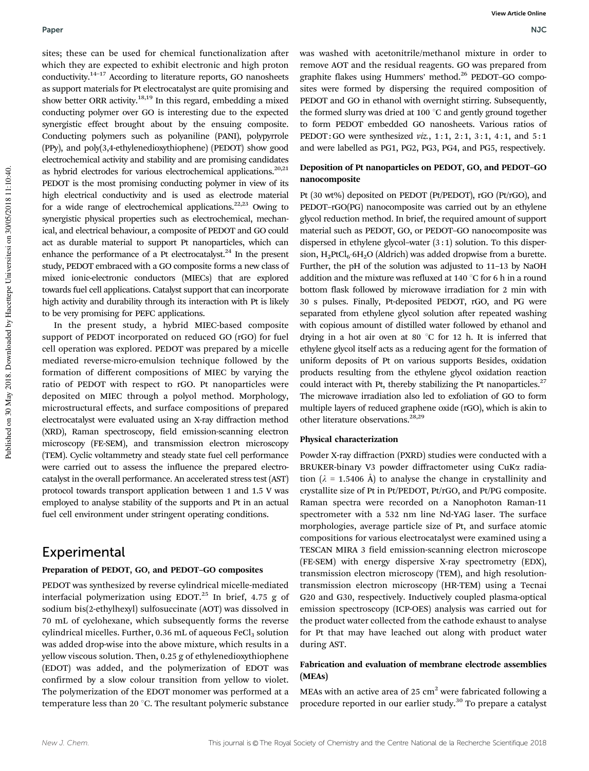#### Paper NJC

sites; these can be used for chemical functionalization after which they are expected to exhibit electronic and high proton conductivity.14–17 According to literature reports, GO nanosheets as support materials for Pt electrocatalyst are quite promising and show better ORR activity.<sup>18,19</sup> In this regard, embedding a mixed conducting polymer over GO is interesting due to the expected synergistic effect brought about by the ensuing composite. Conducting polymers such as polyaniline (PANI), polypyrrole (PPy), and poly(3,4-ethylenedioxythiophene) (PEDOT) show good electrochemical activity and stability and are promising candidates as hybrid electrodes for various electrochemical applications.<sup>20,21</sup> PEDOT is the most promising conducting polymer in view of its high electrical conductivity and is used as electrode material for a wide range of electrochemical applications.<sup>22,23</sup> Owing to synergistic physical properties such as electrochemical, mechanical, and electrical behaviour, a composite of PEDOT and GO could act as durable material to support Pt nanoparticles, which can enhance the performance of a Pt electrocatalyst. $^{24}$  In the present study, PEDOT embraced with a GO composite forms a new class of mixed ionic-electronic conductors (MIECs) that are explored towards fuel cell applications. Catalyst support that can incorporate high activity and durability through its interaction with Pt is likely to be very promising for PEFC applications.

In the present study, a hybrid MIEC-based composite support of PEDOT incorporated on reduced GO (rGO) for fuel cell operation was explored. PEDOT was prepared by a micelle mediated reverse-micro-emulsion technique followed by the formation of different compositions of MIEC by varying the ratio of PEDOT with respect to rGO. Pt nanoparticles were deposited on MIEC through a polyol method. Morphology, microstructural effects, and surface compositions of prepared electrocatalyst were evaluated using an X-ray diffraction method (XRD), Raman spectroscopy, field emission-scanning electron microscopy (FE-SEM), and transmission electron microscopy (TEM). Cyclic voltammetry and steady state fuel cell performance were carried out to assess the influence the prepared electrocatalyst in the overall performance. An accelerated stress test (AST) protocol towards transport application between 1 and 1.5 V was employed to analyse stability of the supports and Pt in an actual fuel cell environment under stringent operating conditions.

#### Experimental

#### Preparation of PEDOT, GO, and PEDOT–GO composites

PEDOT was synthesized by reverse cylindrical micelle-mediated interfacial polymerization using EDOT.<sup>25</sup> In brief, 4.75 g of sodium bis(2-ethylhexyl) sulfosuccinate (AOT) was dissolved in 70 mL of cyclohexane, which subsequently forms the reverse cylindrical micelles. Further,  $0.36$  mL of aqueous FeCl<sub>3</sub> solution was added drop-wise into the above mixture, which results in a yellow viscous solution. Then, 0.25 g of ethylenedioxythiophene (EDOT) was added, and the polymerization of EDOT was confirmed by a slow colour transition from yellow to violet. The polymerization of the EDOT monomer was performed at a temperature less than 20 $\degree$ C. The resultant polymeric substance

was washed with acetonitrile/methanol mixture in order to remove AOT and the residual reagents. GO was prepared from graphite flakes using Hummers' method.<sup>26</sup> PEDOT–GO composites were formed by dispersing the required composition of PEDOT and GO in ethanol with overnight stirring. Subsequently, the formed slurry was dried at 100 $\degree$ C and gently ground together to form PEDOT embedded GO nanosheets. Various ratios of PEDOT: GO were synthesized *viz.*, 1:1, 2:1, 3:1, 4:1, and 5:1 and were labelled as PG1, PG2, PG3, PG4, and PG5, respectively.

#### Deposition of Pt nanoparticles on PEDOT, GO, and PEDOT–GO nanocomposite

Pt (30 wt%) deposited on PEDOT (Pt/PEDOT), rGO (Pt/rGO), and PEDOT–rGO(PG) nanocomposite was carried out by an ethylene glycol reduction method. In brief, the required amount of support material such as PEDOT, GO, or PEDOT–GO nanocomposite was dispersed in ethylene glycol–water  $(3:1)$  solution. To this dispersion, H<sub>2</sub>PtCl<sub>6</sub>·6H<sub>2</sub>O (Aldrich) was added dropwise from a burette. Further, the pH of the solution was adjusted to 11–13 by NaOH addition and the mixture was refluxed at 140  $^{\circ}$ C for 6 h in a round bottom flask followed by microwave irradiation for 2 min with 30 s pulses. Finally, Pt-deposited PEDOT, rGO, and PG were separated from ethylene glycol solution after repeated washing with copious amount of distilled water followed by ethanol and drying in a hot air oven at 80  $^{\circ}$ C for 12 h. It is inferred that ethylene glycol itself acts as a reducing agent for the formation of uniform deposits of Pt on various supports Besides, oxidation products resulting from the ethylene glycol oxidation reaction could interact with Pt, thereby stabilizing the Pt nanoparticles.<sup>27</sup> The microwave irradiation also led to exfoliation of GO to form multiple layers of reduced graphene oxide (rGO), which is akin to other literature observations.<sup>28,29</sup>

#### Physical characterization

Powder X-ray diffraction (PXRD) studies were conducted with a BRUKER-binary V3 powder diffractometer using CuKa radiation ( $\lambda$  = 1.5406 Å) to analyse the change in crystallinity and crystallite size of Pt in Pt/PEDOT, Pt/rGO, and Pt/PG composite. Raman spectra were recorded on a Nanophoton Raman-11 spectrometer with a 532 nm line Nd-YAG laser. The surface morphologies, average particle size of Pt, and surface atomic compositions for various electrocatalyst were examined using a TESCAN MIRA 3 field emission-scanning electron microscope (FE-SEM) with energy dispersive X-ray spectrometry (EDX), transmission electron microscopy (TEM), and high resolutiontransmission electron microscopy (HR-TEM) using a Tecnai G20 and G30, respectively. Inductively coupled plasma-optical emission spectroscopy (ICP-OES) analysis was carried out for the product water collected from the cathode exhaust to analyse for Pt that may have leached out along with product water during AST.

#### Fabrication and evaluation of membrane electrode assemblies (MEAs)

MEAs with an active area of 25  $\text{cm}^2$  were fabricated following a procedure reported in our earlier study.<sup>30</sup> To prepare a catalyst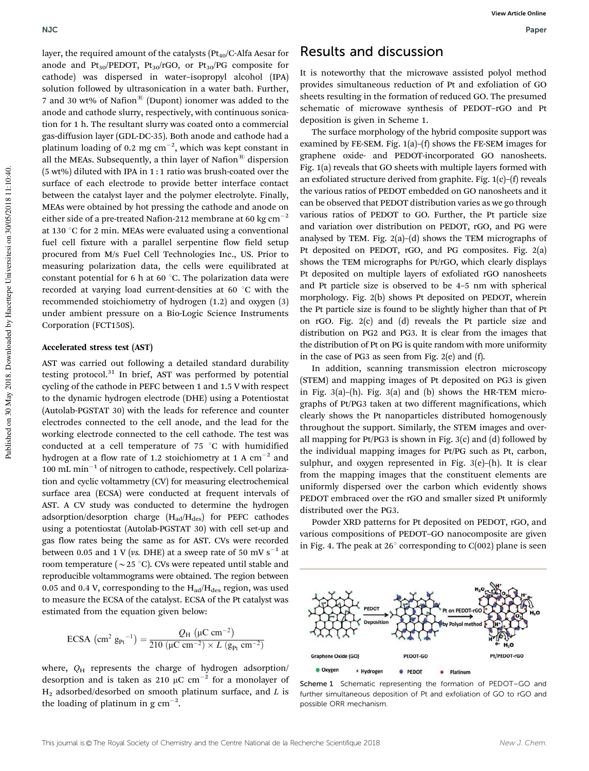layer, the required amount of the catalysts  $(Pt_{40}/C-A)$  Aesar for anode and Pt<sub>30</sub>/PEDOT, Pt<sub>30</sub>/rGO, or Pt<sub>30</sub>/PG composite for cathode) was dispersed in water–isopropyl alcohol (IPA) solution followed by ultrasonication in a water bath. Further, 7 and 30 wt% of Nafion<sup>®</sup> (Dupont) ionomer was added to the anode and cathode slurry, respectively, with continuous sonication for 1 h. The resultant slurry was coated onto a commercial gas-diffusion layer (GDL-DC-35). Both anode and cathode had a platinum loading of 0.2 mg  $cm^{-2}$ , which was kept constant in all the MEAs. Subsequently, a thin layer of Nafion<sup>®</sup> dispersion  $(5 wt%)$  diluted with IPA in 1:1 ratio was brush-coated over the surface of each electrode to provide better interface contact between the catalyst layer and the polymer electrolyte. Finally, MEAs were obtained by hot pressing the cathode and anode on either side of a pre-treated Nafion-212 membrane at 60 kg cm<sup>-2</sup> at 130  $\degree$ C for 2 min. MEAs were evaluated using a conventional fuel cell fixture with a parallel serpentine flow field setup procured from M/s Fuel Cell Technologies Inc., US. Prior to measuring polarization data, the cells were equilibrated at constant potential for 6 h at 60 $\degree$ C. The polarization data were recorded at varying load current-densities at 60 $\degree$ C with the recommended stoichiometry of hydrogen (1.2) and oxygen (3) under ambient pressure on a Bio-Logic Science Instruments Corporation (FCT150S).

#### Accelerated stress test (AST)

AST was carried out following a detailed standard durability testing protocol.<sup>31</sup> In brief, AST was performed by potential cycling of the cathode in PEFC between 1 and 1.5 V with respect to the dynamic hydrogen electrode (DHE) using a Potentiostat (Autolab-PGSTAT 30) with the leads for reference and counter electrodes connected to the cell anode, and the lead for the working electrode connected to the cell cathode. The test was conducted at a cell temperature of  $75 °C$  with humidified hydrogen at a flow rate of 1.2 stoichiometry at 1 A  $\rm cm^{-2}$  and  $100$  mL min $^{-1}$  of nitrogen to cathode, respectively. Cell polarization and cyclic voltammetry (CV) for measuring electrochemical surface area (ECSA) were conducted at frequent intervals of AST. A CV study was conducted to determine the hydrogen adsorption/desorption charge  $(H_{ad}/H_{des})$  for PEFC cathodes using a potentiostat (Autolab-PGSTAT 30) with cell set-up and gas flow rates being the same as for AST. CVs were recorded between 0.05 and 1 V (*vs. DHE*) at a sweep rate of 50 mV  $\mathrm{s}^{-1}$  at room temperature ( $\sim$  25 °C). CVs were repeated until stable and reproducible voltammograms were obtained. The region between 0.05 and 0.4 V, corresponding to the  $H_{ad}/H_{des}$  region, was used to measure the ECSA of the catalyst. ECSA of the Pt catalyst was estimated from the equation given below:

$$
\text{ECSA} \, \left( \text{cm}^2 \, \text{g}_{\text{Pt}}^{-1} \right) = \frac{Q_{\text{H}} \, \left( \mu \text{C} \, \text{cm}^{-2} \right)}{210 \, \left( \mu \text{C} \, \text{cm}^{-2} \right) \times L \, \left( \text{g}_{\text{Pt}} \, \text{cm}^{-2} \right)}
$$

where,  $Q_H$  represents the charge of hydrogen adsorption/ desorption and is taken as 210  $\mu$ C cm<sup>-2</sup> for a monolayer of H<sup>2</sup> adsorbed/desorbed on smooth platinum surface, and *L* is the loading of platinum in  $g \text{ cm}^{-2}$ .

### Results and discussion

It is noteworthy that the microwave assisted polyol method provides simultaneous reduction of Pt and exfoliation of GO sheets resulting in the formation of reduced GO. The presumed schematic of microwave synthesis of PEDOT–rGO and Pt deposition is given in Scheme 1.

The surface morphology of the hybrid composite support was examined by FE-SEM. Fig. 1(a)–(f) shows the FE-SEM images for graphene oxide- and PEDOT-incorporated GO nanosheets. Fig. 1(a) reveals that GO sheets with multiple layers formed with an exfoliated structure derived from graphite. Fig. 1(c)–(f) reveals the various ratios of PEDOT embedded on GO nanosheets and it can be observed that PEDOT distribution varies as we go through various ratios of PEDOT to GO. Further, the Pt particle size and variation over distribution on PEDOT, rGO, and PG were analysed by TEM. Fig.  $2(a)$ – $(d)$  shows the TEM micrographs of Pt deposited on PEDOT, rGO, and PG composites. Fig. 2(a) shows the TEM micrographs for Pt/rGO, which clearly displays Pt deposited on multiple layers of exfoliated rGO nanosheets and Pt particle size is observed to be 4–5 nm with spherical morphology. Fig. 2(b) shows Pt deposited on PEDOT, wherein the Pt particle size is found to be slightly higher than that of Pt on rGO. Fig. 2(c) and (d) reveals the Pt particle size and distribution on PG2 and PG3. It is clear from the images that the distribution of Pt on PG is quite random with more uniformity in the case of PG3 as seen from Fig. 2(e) and (f).

In addition, scanning transmission electron microscopy (STEM) and mapping images of Pt deposited on PG3 is given in Fig. 3(a)–(h). Fig. 3(a) and (b) shows the HR-TEM micrographs of Pt/PG3 taken at two different magnifications, which clearly shows the Pt nanoparticles distributed homogenously throughout the support. Similarly, the STEM images and overall mapping for Pt/PG3 is shown in Fig. 3(c) and (d) followed by the individual mapping images for Pt/PG such as Pt, carbon, sulphur, and oxygen represented in Fig. 3(e)–(h). It is clear from the mapping images that the constituent elements are uniformly dispersed over the carbon which evidently shows PEDOT embraced over the rGO and smaller sized Pt uniformly distributed over the PG3.

Powder XRD patterns for Pt deposited on PEDOT, rGO, and various compositions of PEDOT–GO nanocomposite are given in Fig. 4. The peak at  $26^{\circ}$  corresponding to C(002) plane is seen



Scheme 1 Schematic representing the formation of PEDOT-GO and further simultaneous deposition of Pt and exfoliation of GO to rGO and possible ORR mechanism.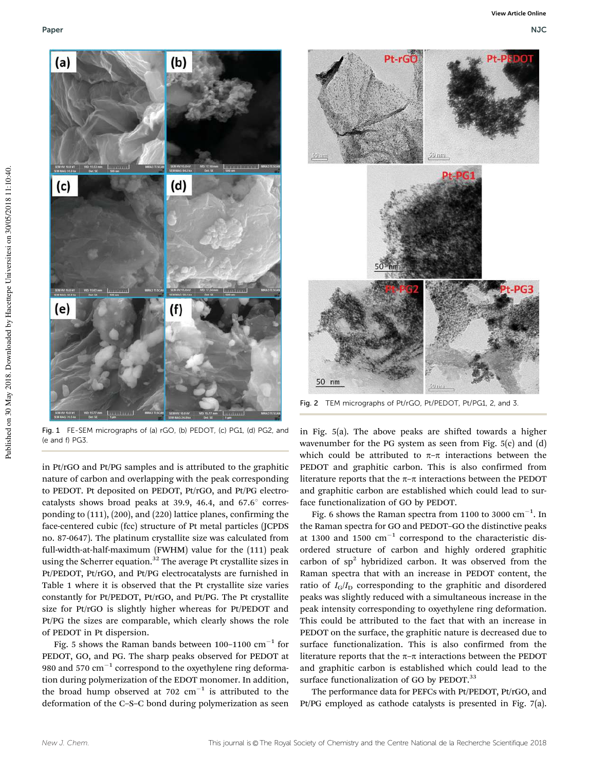



in Pt/rGO and Pt/PG samples and is attributed to the graphitic nature of carbon and overlapping with the peak corresponding to PEDOT. Pt deposited on PEDOT, Pt/rGO, and Pt/PG electrocatalysts shows broad peaks at 39.9, 46.4, and  $67.6^{\circ}$  corresponding to (111), (200), and (220) lattice planes, confirming the face-centered cubic (fcc) structure of Pt metal particles (JCPDS no. 87-0647). The platinum crystallite size was calculated from full-width-at-half-maximum (FWHM) value for the (111) peak using the Scherrer equation.<sup>32</sup> The average Pt crystallite sizes in Pt/PEDOT, Pt/rGO, and Pt/PG electrocatalysts are furnished in Table 1 where it is observed that the Pt crystallite size varies constantly for Pt/PEDOT, Pt/rGO, and Pt/PG. The Pt crystallite size for Pt/rGO is slightly higher whereas for Pt/PEDOT and Pt/PG the sizes are comparable, which clearly shows the role of PEDOT in Pt dispersion.

Fig. 5 shows the Raman bands between 100–1100  $\mathrm{cm}^{-1}$  for PEDOT, GO, and PG. The sharp peaks observed for PEDOT at 980 and 570  $\text{cm}^{-1}$  correspond to the oxyethylene ring deformation during polymerization of the EDOT monomer. In addition, the broad hump observed at 702  $\text{cm}^{-1}$  is attributed to the deformation of the C–S–C bond during polymerization as seen



Fig. 2 TEM micrographs of Pt/rGO, Pt/PEDOT, Pt/PG1, 2, and 3.

in Fig. 5(a). The above peaks are shifted towards a higher wavenumber for the PG system as seen from Fig. 5(c) and (d) which could be attributed to  $\pi-\pi$  interactions between the PEDOT and graphitic carbon. This is also confirmed from literature reports that the  $\pi$ – $\pi$  interactions between the PEDOT and graphitic carbon are established which could lead to surface functionalization of GO by PEDOT.

Fig. 6 shows the Raman spectra from 1100 to 3000  $\text{cm}^{-1}$ . In the Raman spectra for GO and PEDOT–GO the distinctive peaks at 1300 and 1500  $\text{cm}^{-1}$  correspond to the characteristic disordered structure of carbon and highly ordered graphitic carbon of  $sp<sup>2</sup>$  hybridized carbon. It was observed from the Raman spectra that with an increase in PEDOT content, the ratio of  $I_G/I_D$  corresponding to the graphitic and disordered peaks was slightly reduced with a simultaneous increase in the peak intensity corresponding to oxyethylene ring deformation. This could be attributed to the fact that with an increase in PEDOT on the surface, the graphitic nature is decreased due to surface functionalization. This is also confirmed from the literature reports that the  $\pi$ – $\pi$  interactions between the PEDOT and graphitic carbon is established which could lead to the surface functionalization of GO by PEDOT.<sup>33</sup>

The performance data for PEFCs with Pt/PEDOT, Pt/rGO, and Pt/PG employed as cathode catalysts is presented in Fig. 7(a).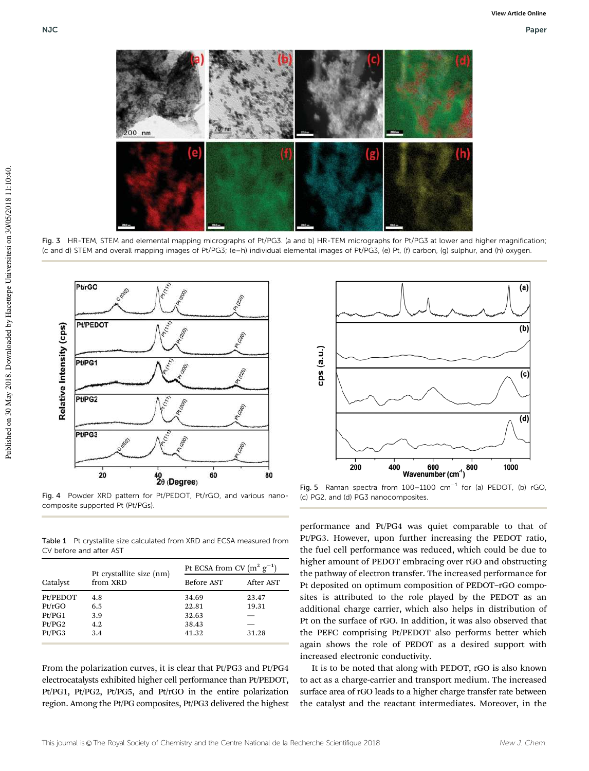

Fig. 3 HR-TEM, STEM and elemental mapping micrographs of Pt/PG3. (a and b) HR-TEM micrographs for Pt/PG3 at lower and higher magnification; (c and d) STEM and overall mapping images of Pt/PG3; (e–h) individual elemental images of Pt/PG3, (e) Pt, (f) carbon, (g) sulphur, and (h) oxygen.



Fig. 4 Powder XRD pattern for Pt/PEDOT, Pt/rGO, and various nanocomposite supported Pt (Pt/PGs).

Table 1 Pt crystallite size calculated from XRD and ECSA measured from CV before and after AST

| Catalyst | Pt crystallite size (nm)<br>from XRD | Pt ECSA from CV $(m^2 g^{-1})$ |           |
|----------|--------------------------------------|--------------------------------|-----------|
|          |                                      | Before AST                     | After AST |
| Pt/PEDOT | 4.8                                  | 34.69                          | 23.47     |
| Pt/rGO   | 6.5                                  | 22.81                          | 19.31     |
| Pt/PG1   | 3.9                                  | 32.63                          |           |
| Pt/PG2   | 4.2                                  | 38.43                          |           |
| Pt/PG3   | 3.4                                  | 41.32                          | 31.28     |

From the polarization curves, it is clear that Pt/PG3 and Pt/PG4 electrocatalysts exhibited higher cell performance than Pt/PEDOT, Pt/PG1, Pt/PG2, Pt/PG5, and Pt/rGO in the entire polarization region. Among the Pt/PG composites, Pt/PG3 delivered the highest



Fig. 5 Raman spectra from  $100-1100$  cm<sup>-1</sup> for (a) PEDOT, (b) rGO, (c) PG2, and (d) PG3 nanocomposites.

performance and Pt/PG4 was quiet comparable to that of Pt/PG3. However, upon further increasing the PEDOT ratio, the fuel cell performance was reduced, which could be due to higher amount of PEDOT embracing over rGO and obstructing the pathway of electron transfer. The increased performance for Pt deposited on optimum composition of PEDOT–rGO composites is attributed to the role played by the PEDOT as an additional charge carrier, which also helps in distribution of Pt on the surface of rGO. In addition, it was also observed that the PEFC comprising Pt/PEDOT also performs better which again shows the role of PEDOT as a desired support with increased electronic conductivity.

It is to be noted that along with PEDOT, rGO is also known to act as a charge-carrier and transport medium. The increased surface area of rGO leads to a higher charge transfer rate between the catalyst and the reactant intermediates. Moreover, in the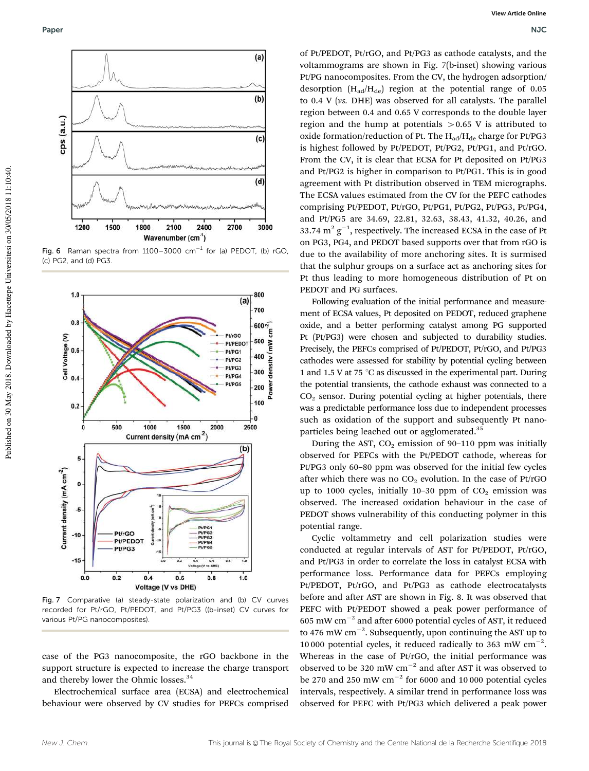

Fig. 6 Raman spectra from  $1100-3000$  cm<sup>-1</sup> for (a) PEDOT, (b) rGO, (c) PG2, and (d) PG3.



Fig. 7 Comparative (a) steady-state polarization and (b) CV curves recorded for Pt/rGO, Pt/PEDOT, and Pt/PG3 ((b-inset) CV curves for various Pt/PG nanocomposites).

case of the PG3 nanocomposite, the rGO backbone in the support structure is expected to increase the charge transport and thereby lower the Ohmic losses.<sup>34</sup>

Electrochemical surface area (ECSA) and electrochemical behaviour were observed by CV studies for PEFCs comprised

of Pt/PEDOT, Pt/rGO, and Pt/PG3 as cathode catalysts, and the voltammograms are shown in Fig. 7(b-inset) showing various Pt/PG nanocomposites. From the CV, the hydrogen adsorption/ desorption  $(H_{ad}/H_{de})$  region at the potential range of 0.05 to 0.4 V (*vs.* DHE) was observed for all catalysts. The parallel region between 0.4 and 0.65 V corresponds to the double layer region and the hump at potentials  $>0.65$  V is attributed to oxide formation/reduction of Pt. The  $H_{ad}/H_{de}$  charge for Pt/PG3 is highest followed by Pt/PEDOT, Pt/PG2, Pt/PG1, and Pt/rGO. From the CV, it is clear that ECSA for Pt deposited on Pt/PG3 and Pt/PG2 is higher in comparison to Pt/PG1. This is in good agreement with Pt distribution observed in TEM micrographs. The ECSA values estimated from the CV for the PEFC cathodes comprising Pt/PEDOT, Pt/rGO, Pt/PG1, Pt/PG2, Pt/PG3, Pt/PG4, and Pt/PG5 are 34.69, 22.81, 32.63, 38.43, 41.32, 40.26, and 33.74  $\text{m}^2$   $\text{g}^{-1}$ , respectively. The increased ECSA in the case of Pt on PG3, PG4, and PEDOT based supports over that from rGO is due to the availability of more anchoring sites. It is surmised that the sulphur groups on a surface act as anchoring sites for Pt thus leading to more homogeneous distribution of Pt on PEDOT and PG surfaces.

Following evaluation of the initial performance and measurement of ECSA values, Pt deposited on PEDOT, reduced graphene oxide, and a better performing catalyst among PG supported Pt (Pt/PG3) were chosen and subjected to durability studies. Precisely, the PEFCs comprised of Pt/PEDOT, Pt/rGO, and Pt/PG3 cathodes were assessed for stability by potential cycling between 1 and 1.5 V at 75  $\degree$ C as discussed in the experimental part. During the potential transients, the cathode exhaust was connected to a CO<sup>2</sup> sensor. During potential cycling at higher potentials, there was a predictable performance loss due to independent processes such as oxidation of the support and subsequently Pt nanoparticles being leached out or agglomerated.<sup>35</sup>

During the AST,  $CO<sub>2</sub>$  emission of 90–110 ppm was initially observed for PEFCs with the Pt/PEDOT cathode, whereas for Pt/PG3 only 60–80 ppm was observed for the initial few cycles after which there was no  $CO<sub>2</sub>$  evolution. In the case of Pt/rGO up to 1000 cycles, initially 10-30 ppm of  $CO<sub>2</sub>$  emission was observed. The increased oxidation behaviour in the case of PEDOT shows vulnerability of this conducting polymer in this potential range.

Cyclic voltammetry and cell polarization studies were conducted at regular intervals of AST for Pt/PEDOT, Pt/rGO, and Pt/PG3 in order to correlate the loss in catalyst ECSA with performance loss. Performance data for PEFCs employing Pt/PEDOT, Pt/rGO, and Pt/PG3 as cathode electrocatalysts before and after AST are shown in Fig. 8. It was observed that PEFC with Pt/PEDOT showed a peak power performance of 605 mW  $cm^{-2}$  and after 6000 potential cycles of AST, it reduced to 476 mW  $cm^{-2}$ . Subsequently, upon continuing the AST up to 10 000 potential cycles, it reduced radically to 363 mW  $cm^{-2}$ . Whereas in the case of Pt/rGO, the initial performance was observed to be 320 mW  $cm^{-2}$  and after AST it was observed to be 270 and 250 mW  $cm^{-2}$  for 6000 and 10000 potential cycles intervals, respectively. A similar trend in performance loss was observed for PEFC with Pt/PG3 which delivered a peak power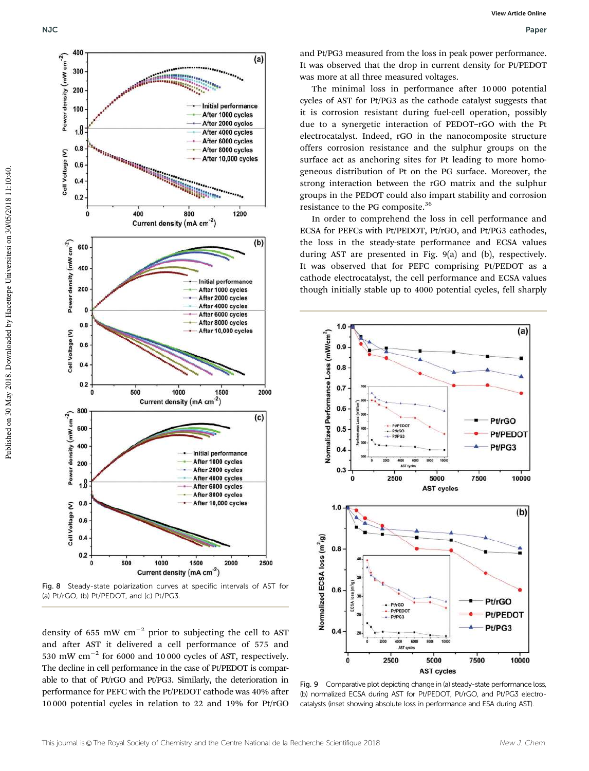

Fig. 8 Steady-state polarization curves at specific intervals of AST for (a) Pt/rGO, (b) Pt/PEDOT, and (c) Pt/PG3.

density of 655 mW  $\text{cm}^{-2}$  prior to subjecting the cell to AST and after AST it delivered a cell performance of 575 and 530 mW  $\text{cm}^{-2}$  for 6000 and 10 000 cycles of AST, respectively. The decline in cell performance in the case of Pt/PEDOT is comparable to that of Pt/rGO and Pt/PG3. Similarly, the deterioration in performance for PEFC with the Pt/PEDOT cathode was 40% after 10 000 potential cycles in relation to 22 and 19% for Pt/rGO

and Pt/PG3 measured from the loss in peak power performance. It was observed that the drop in current density for Pt/PEDOT was more at all three measured voltages.

The minimal loss in performance after 10 000 potential cycles of AST for Pt/PG3 as the cathode catalyst suggests that it is corrosion resistant during fuel-cell operation, possibly due to a synergetic interaction of PEDOT–rGO with the Pt electrocatalyst. Indeed, rGO in the nanocomposite structure offers corrosion resistance and the sulphur groups on the surface act as anchoring sites for Pt leading to more homogeneous distribution of Pt on the PG surface. Moreover, the strong interaction between the rGO matrix and the sulphur groups in the PEDOT could also impart stability and corrosion resistance to the PG composite.<sup>36</sup>

In order to comprehend the loss in cell performance and ECSA for PEFCs with Pt/PEDOT, Pt/rGO, and Pt/PG3 cathodes, the loss in the steady-state performance and ECSA values during AST are presented in Fig. 9(a) and (b), respectively. It was observed that for PEFC comprising Pt/PEDOT as a cathode electrocatalyst, the cell performance and ECSA values though initially stable up to 4000 potential cycles, fell sharply



Fig. 9 Comparative plot depicting change in (a) steady-state performance loss, (b) normalized ECSA during AST for Pt/PEDOT, Pt/rGO, and Pt/PG3 electrocatalysts (inset showing absolute loss in performance and ESA during AST).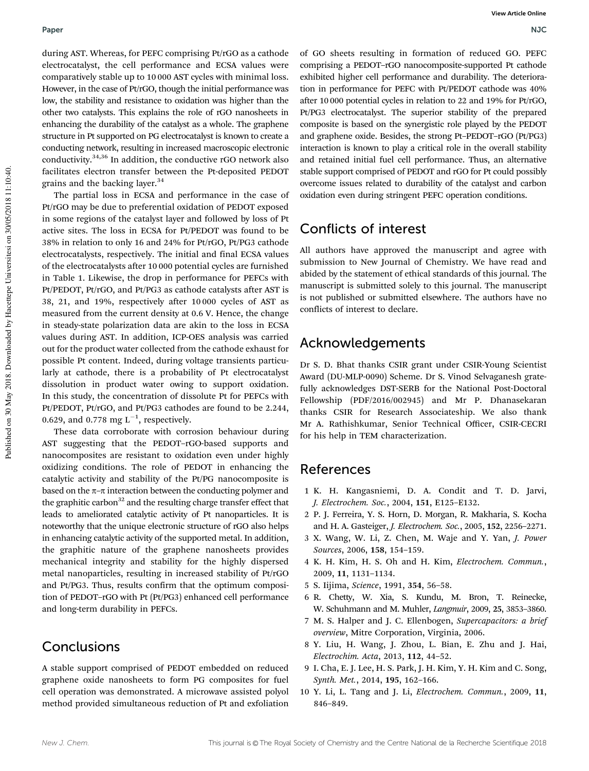#### Paper NJC

during AST. Whereas, for PEFC comprising Pt/rGO as a cathode electrocatalyst, the cell performance and ECSA values were comparatively stable up to 10 000 AST cycles with minimal loss. However, in the case of Pt/rGO, though the initial performance was low, the stability and resistance to oxidation was higher than the other two catalysts. This explains the role of rGO nanosheets in enhancing the durability of the catalyst as a whole. The graphene structure in Pt supported on PG electrocatalyst is known to create a conducting network, resulting in increased macroscopic electronic conductivity.34,36 In addition, the conductive rGO network also facilitates electron transfer between the Pt-deposited PEDOT grains and the backing layer.<sup>34</sup>

The partial loss in ECSA and performance in the case of Pt/rGO may be due to preferential oxidation of PEDOT exposed in some regions of the catalyst layer and followed by loss of Pt active sites. The loss in ECSA for Pt/PEDOT was found to be 38% in relation to only 16 and 24% for Pt/rGO, Pt/PG3 cathode electrocatalysts, respectively. The initial and final ECSA values of the electrocatalysts after 10 000 potential cycles are furnished in Table 1. Likewise, the drop in performance for PEFCs with Pt/PEDOT, Pt/rGO, and Pt/PG3 as cathode catalysts after AST is 38, 21, and 19%, respectively after 10 000 cycles of AST as measured from the current density at 0.6 V. Hence, the change in steady-state polarization data are akin to the loss in ECSA values during AST. In addition, ICP-OES analysis was carried out for the product water collected from the cathode exhaust for possible Pt content. Indeed, during voltage transients particularly at cathode, there is a probability of Pt electrocatalyst dissolution in product water owing to support oxidation. In this study, the concentration of dissolute Pt for PEFCs with Pt/PEDOT, Pt/rGO, and Pt/PG3 cathodes are found to be 2.244, 0.629, and 0.778 mg  $L^{-1}$ , respectively.

These data corroborate with corrosion behaviour during AST suggesting that the PEDOT–rGO-based supports and nanocomposites are resistant to oxidation even under highly oxidizing conditions. The role of PEDOT in enhancing the catalytic activity and stability of the Pt/PG nanocomposite is based on the  $\pi$ – $\pi$  interaction between the conducting polymer and the graphitic carbon $32$  and the resulting charge transfer effect that leads to ameliorated catalytic activity of Pt nanoparticles. It is noteworthy that the unique electronic structure of rGO also helps in enhancing catalytic activity of the supported metal. In addition, the graphitic nature of the graphene nanosheets provides mechanical integrity and stability for the highly dispersed metal nanoparticles, resulting in increased stability of Pt/rGO and Pt/PG3. Thus, results confirm that the optimum composition of PEDOT–rGO with Pt (Pt/PG3) enhanced cell performance and long-term durability in PEFCs.

# **Conclusions**

A stable support comprised of PEDOT embedded on reduced graphene oxide nanosheets to form PG composites for fuel cell operation was demonstrated. A microwave assisted polyol method provided simultaneous reduction of Pt and exfoliation

of GO sheets resulting in formation of reduced GO. PEFC comprising a PEDOT–rGO nanocomposite-supported Pt cathode exhibited higher cell performance and durability. The deterioration in performance for PEFC with Pt/PEDOT cathode was 40% after 10 000 potential cycles in relation to 22 and 19% for Pt/rGO, Pt/PG3 electrocatalyst. The superior stability of the prepared composite is based on the synergistic role played by the PEDOT and graphene oxide. Besides, the strong Pt–PEDOT–rGO (Pt/PG3) interaction is known to play a critical role in the overall stability and retained initial fuel cell performance. Thus, an alternative stable support comprised of PEDOT and rGO for Pt could possibly overcome issues related to durability of the catalyst and carbon oxidation even during stringent PEFC operation conditions.

# Conflicts of interest

All authors have approved the manuscript and agree with submission to New Journal of Chemistry. We have read and abided by the statement of ethical standards of this journal. The manuscript is submitted solely to this journal. The manuscript is not published or submitted elsewhere. The authors have no conflicts of interest to declare.

# Acknowledgements

Dr S. D. Bhat thanks CSIR grant under CSIR-Young Scientist Award (DU-MLP-0090) Scheme. Dr S. Vinod Selvaganesh gratefully acknowledges DST-SERB for the National Post-Doctoral Fellowship (PDF/2016/002945) and Mr P. Dhanasekaran thanks CSIR for Research Associateship. We also thank Mr A. Rathishkumar, Senior Technical Officer, CSIR-CECRI for his help in TEM characterization.

# References

- 1 K. H. Kangasniemi, D. A. Condit and T. D. Jarvi, *J. Electrochem. Soc.*, 2004, 151, E125–E132.
- 2 P. J. Ferreira, Y. S. Horn, D. Morgan, R. Makharia, S. Kocha and H. A. Gasteiger, *J. Electrochem. Soc.*, 2005, 152, 2256–2271.
- 3 X. Wang, W. Li, Z. Chen, M. Waje and Y. Yan, *J. Power Sources*, 2006, 158, 154–159.
- 4 K. H. Kim, H. S. Oh and H. Kim, *Electrochem. Commun.*, 2009, 11, 1131–1134.
- 5 S. Iijima, *Science*, 1991, 354, 56–58.
- 6 R. Chetty, W. Xia, S. Kundu, M. Bron, T. Reinecke, W. Schuhmann and M. Muhler, *Langmuir*, 2009, 25, 3853–3860.
- 7 M. S. Halper and J. C. Ellenbogen, *Supercapacitors: a brief overview*, Mitre Corporation, Virginia, 2006.
- 8 Y. Liu, H. Wang, J. Zhou, L. Bian, E. Zhu and J. Hai, *Electrochim. Acta*, 2013, 112, 44–52.
- 9 I. Cha, E. J. Lee, H. S. Park, J. H. Kim, Y. H. Kim and C. Song, *Synth. Met.*, 2014, 195, 162–166.
- 10 Y. Li, L. Tang and J. Li, *Electrochem. Commun.*, 2009, 11, 846–849.